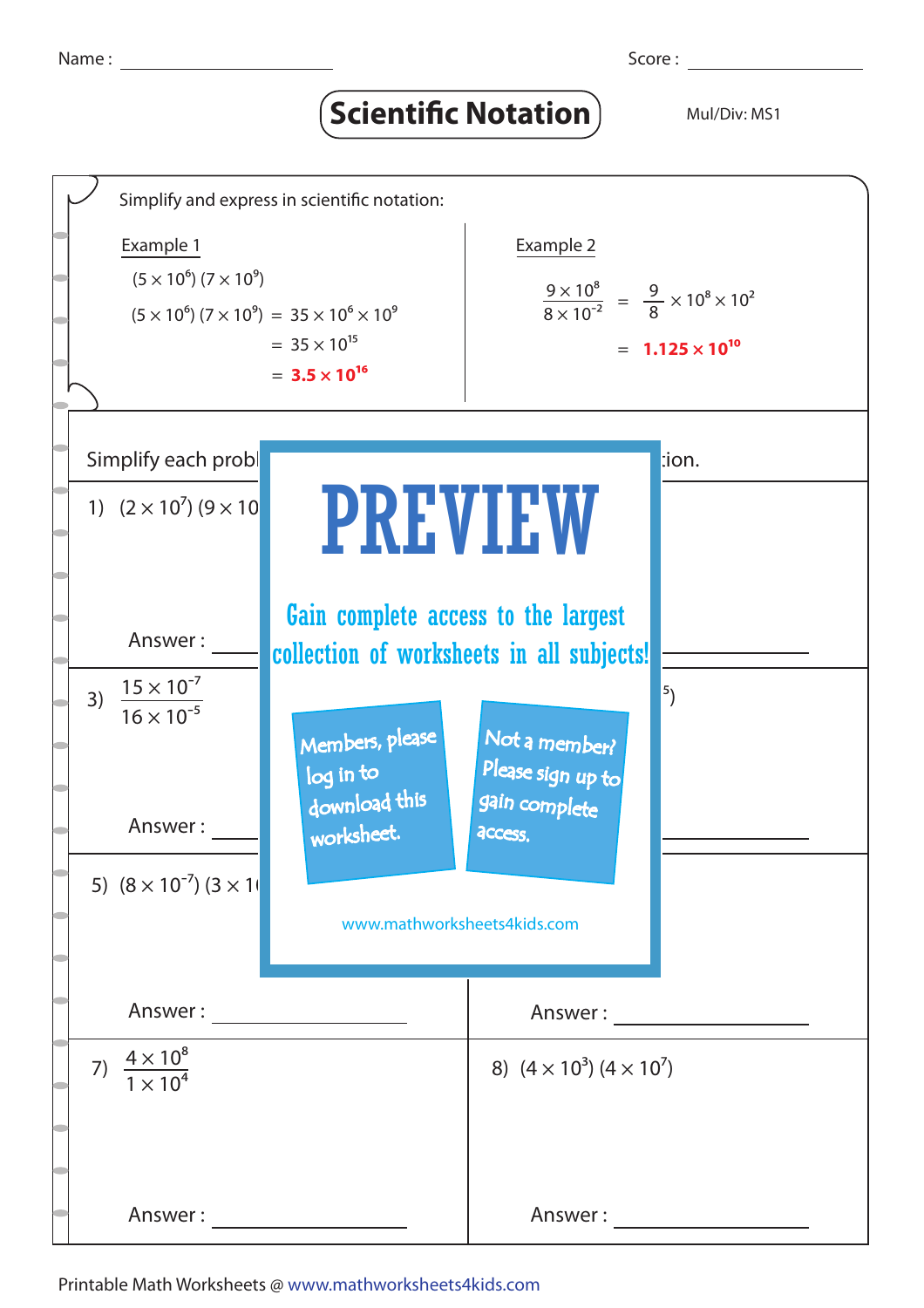## **Scientific Notation** Mul/Div: MS1